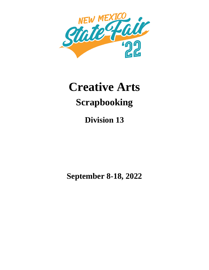

# **Creative Arts Scrapbooking**

**Division 13**

**September 8-18, 2022**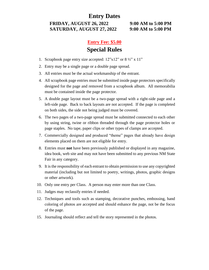#### **Entry Dates**

**FRIDAY, AUGUST 26, 2022 9:00 AM to 5:00 PM SATURDAY, AUGUST 27, 2022 9:00 AM to 5:00 PM**

## **Entry Fee: \$5.00 Special Rules**

- 1. Scrapbook page entry size accepted:  $12"x12"$  or  $8\frac{1}{2}"x11"$
- 2. Entry may be a single page or a double page spread.
- 3. All entries must be the actual workmanship of the entrant.
- 4. All scrapbook page entries must be submitted inside page protectors specifically designed for the page and removed from a scrapbook album. All memorabilia must be contained inside the page protector.
- 5. A double page layout must be a two-page spread with a right-side page and a left-side page. Back to back layouts are not accepted. If the page is completed on both sides, the side not being judged must be covered.
- 6. The two pages of a two-page spread must be submitted connected to each other by using string, twine or ribbon threaded through the page protector holes or page staples. No tape, paper clips or other types of clamps are accepted.
- 7. Commercially designed and produced "theme" pages that already have design elements placed on them are not eligible for entry.
- 8. Entries must **not** have been previously published or displayed in any magazine, idea book, web site and may not have been submitted to any previous NM State Fair in any category.
- 9. It is the responsibility of each entrant to obtain permission to use any copyrighted material (including but not limited to poetry, writings, photos, graphic designs or other artwork).
- 10. Only one entry per Class. A person may enter more than one Class.
- 11. Judges may reclassify entries if needed.
- 12. Techniques and tools such as stamping, decorative punches, embossing, hand coloring of photos are accepted and should enhance the page, not be the focus of the page.
- 15. Journaling should reflect and tell the story represented in the photos.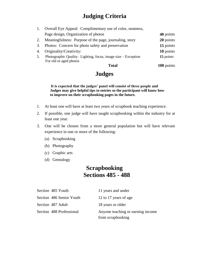# **Judging Criteria**

|    | Overall Eye Appeal: Complimentary use of color, neatness,                               |            |
|----|-----------------------------------------------------------------------------------------|------------|
|    | Page design, Organization of photos                                                     | 40 points  |
| 2. | Meaningfulness: Purpose of the page, journaling, story                                  | 20 points  |
| 3. | Photos: Concern for photo safety and preservation                                       | 15 points  |
| 4. | Originality/Creativity:                                                                 | 10 points  |
|    | Photographic Quality: Lighting, focus, image size – Exception<br>For old or aged photos | 15 points  |
|    | Total                                                                                   | 100 points |

# **Judges**

**It is expected that the judges' panel will consist of three people and Judges may give helpful tips to entries so the participant will know how to improve on their scrapbooking pages in the future.**

- 1. At least one will have at least two years of scrapbook teaching experience.
- 2. If possible, one judge will have taught scrapbooking within the industry for at least one year.
- 3. One will be chosen from a more general population but will have relevant experience in one or more of the following:
	- (a) Scrapbooking
	- (b) Photography
	- (c) Graphic arts
	- (d) Genealogy

### **Scrapbooking Sections 485 - 488**

| Section 485 Youth        | 11 years and under                |
|--------------------------|-----------------------------------|
| Section 486 Senior Youth | 12 to 17 years of age             |
| Section 487 Adult        | 18 years or older                 |
| Section 488 Professional | Anyone teaching or earning income |
|                          | from scrapbooking                 |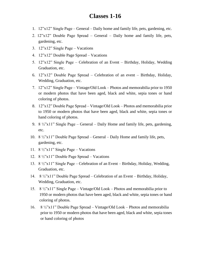#### **Classes 1-16**

- 1. 12"x12" Single Page General Daily home and family life, pets, gardening, etc.
- 2. 12"x12" Double Page Spread General Daily home and family life, pets, gardening, etc.
- 3. 12"x12" Single Page Vacations
- 4. 12"x12" Double Page Spread Vacations
- 5. 12"x12" Single Page Celebration of an Event Birthday, Holiday, Wedding Graduation, etc.
- 6. 12"x12" Double Page Spread Celebration of an event Birthday, Holiday, Wedding, Graduation, etc.
- 7. 12"x12" Single Page Vintage/Old Look Photos and memorabilia prior to 1950 or modern photos that have been aged, black and white, sepia tones or hand coloring of photos.
- 8. 12"x12" Double Page Spread Vintage/Old Look Photos and memorabilia prior to 1950 or modern photos that have been aged, black and white, sepia tones or hand coloring of photos.
- 9. 8  $\frac{1}{2}$ "x11" Single Page General Daily Home and family life, pets, gardening, etc.
- 10. 8 ½"x11" Double Page Spread General Daily Home and family life, pets, gardening, etc.
- 11. 8  $\frac{1}{2}$ "x11" Single Page Vacations
- 12. 8 ½"x11" Double Page Spread Vacations
- 13. 8 ½"x11" Single Page Celebration of an Event Birthday, Holiday, Wedding, Graduation, etc.
- 14. 8 ½"x11" Double Page Spread Celebration of an Event Birthday, Holiday, Wedding, Graduation, etc.
- 15. 8 ½"x11" Single Page Vintage/Old Look Photos and memorabilia prior to 1950 or modern photos that have been aged, black and white, sepia tones or hand coloring of photos.
- 16. 8 ½"x11" Double Page Spread Vintage/Old Look Photos and memorabilia prior to 1950 or modern photos that have been aged, black and white, sepia tones or hand coloring of photos